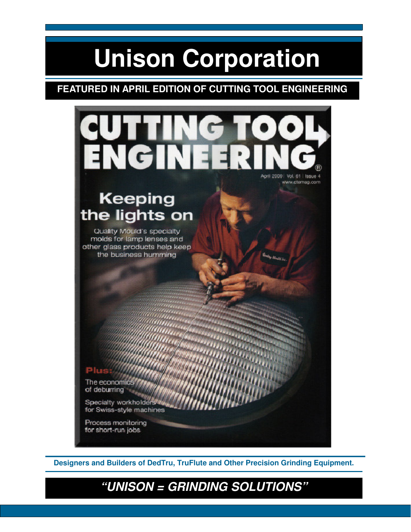# **Unison Corporation**

## **FEATURED IN APRIL EDITION OF CUTTING TOOL ENGINEERING**



**Designers and Builders of DedTru, TruFlute and Other Precision Grinding Equipment.** 

# **"UNISON = GRINDING SOLUTIONS"**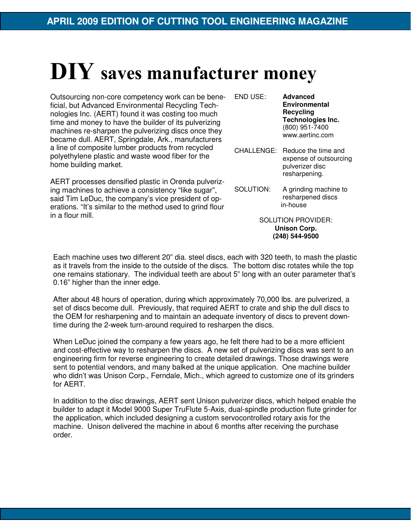# DIY saves manufacturer money

Outsourcing non-core competency work can be beneficial, but Advanced Environmental Recycling Technologies Inc. (AERT) found it was costing too much time and money to have the builder of its pulverizing machines re-sharpen the pulverizing discs once they became dull. AERT, Springdale, Ark., manufacturers a line of composite lumber products from recycled polyethylene plastic and waste wood fiber for the home building market.

AERT processes densified plastic in Orenda pulverizing machines to achieve a consistency "like sugar", said Tim LeDuc, the company's vice president of operations. "It's similar to the method used to grind flour in a flour mill.

END USE: **Advanced Environmental Recycling Technologies Inc.** (800) 951-7400 www.aertinc.com

- CHALLENGE: Reduce the time and expense of outsourcing pulverizer disc resharpening.
- SOLUTION: A grinding machine to resharpened discs in-house

SOLUTION PROVIDER: **Unison Corp. (248) 544-9500** 

Each machine uses two different 20" dia. steel discs, each with 320 teeth, to mash the plastic as it travels from the inside to the outside of the discs. The bottom disc rotates while the top one remains stationary. The individual teeth are about 5" long with an outer parameter that's 0.16" higher than the inner edge.

After about 48 hours of operation, during which approximately 70,000 lbs. are pulverized, a set of discs become dull. Previously, that required AERT to crate and ship the dull discs to the OEM for resharpening and to maintain an adequate inventory of discs to prevent downtime during the 2-week turn-around required to resharpen the discs.

When LeDuc joined the company a few years ago, he felt there had to be a more efficient and cost-effective way to resharpen the discs. A new set of pulverizing discs was sent to an engineering firm for reverse engineering to create detailed drawings. Those drawings were sent to potential vendors, and many balked at the unique application. One machine builder who didn't was Unison Corp., Ferndale, Mich., which agreed to customize one of its grinders for AERT.

In addition to the disc drawings, AERT sent Unison pulverizer discs, which helped enable the builder to adapt it Model 9000 Super TruFlute 5-Axis, dual-spindle production flute grinder for the application, which included designing a custom servocontrolled rotary axis for the machine. Unison delivered the machine in about 6 months after receiving the purchase order.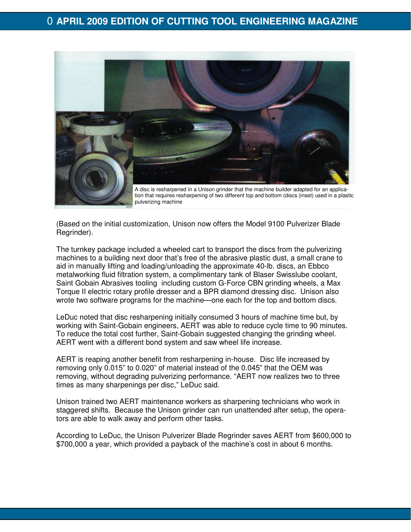### 0 **APRIL 2009 EDITION OF CUTTING TOOL ENGINEERING MAGAZINE**



(Based on the initial customization, Unison now offers the Model 9100 Pulverizer Blade Regrinder).

The turnkey package included a wheeled cart to transport the discs from the pulverizing machines to a building next door that's free of the abrasive plastic dust, a small crane to aid in manually lifting and loading/unloading the approximate 40-lb. discs, an Ebbco metalworking fluid filtration system, a complimentary tank of Blaser Swisslube coolant, Saint Gobain Abrasives tooling including custom G-Force CBN grinding wheels, a Max Torque II electric rotary profile dresser and a BPR diamond dressing disc. Unison also wrote two software programs for the machine—one each for the top and bottom discs.

LeDuc noted that disc resharpening initially consumed 3 hours of machine time but, by working with Saint-Gobain engineers, AERT was able to reduce cycle time to 90 minutes. To reduce the total cost further, Saint-Gobain suggested changing the grinding wheel. AERT went with a different bond system and saw wheel life increase.

AERT is reaping another benefit from resharpening in-house. Disc life increased by removing only 0.015" to 0.020" of material instead of the 0.045" that the OEM was removing, without degrading pulverizing performance. "AERT now realizes two to three times as many sharpenings per disc," LeDuc said.

Unison trained two AERT maintenance workers as sharpening technicians who work in staggered shifts. Because the Unison grinder can run unattended after setup, the operators are able to walk away and perform other tasks.

According to LeDuc, the Unison Pulverizer Blade Regrinder saves AERT from \$600,000 to \$700,000 a year, which provided a payback of the machine's cost in about 6 months.